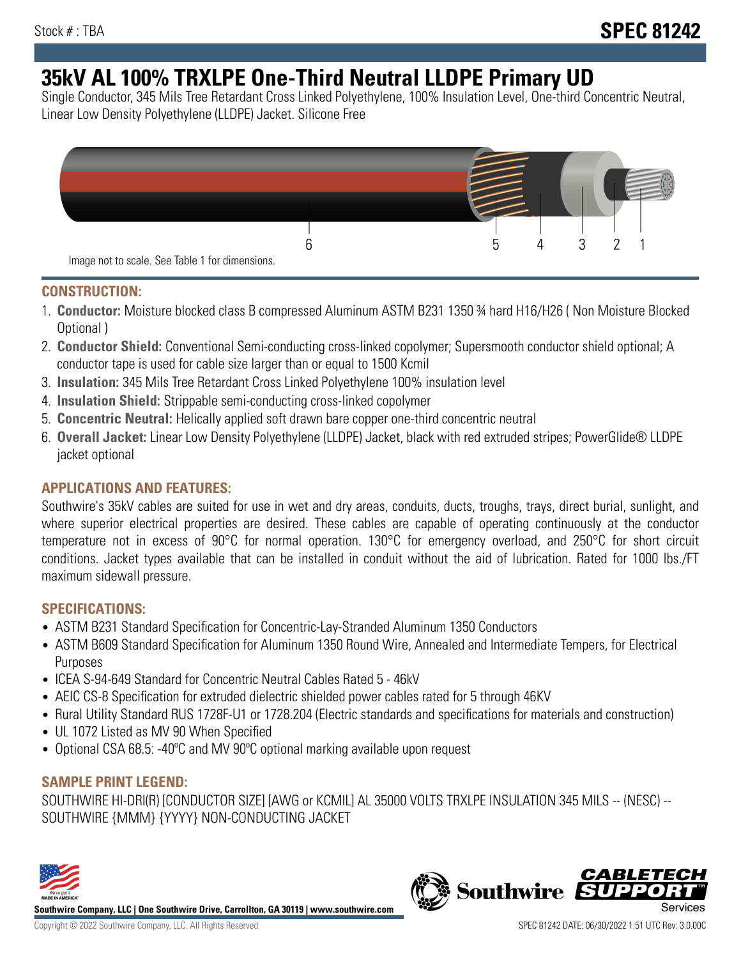# **35kV AL 100% TRXLPE One-Third Neutral LLDPE Primary UD**

Single Conductor, 345 Mils Tree Retardant Cross Linked Polyethylene, 100% Insulation Level, One-third Concentric Neutral, Linear Low Density Polyethylene (LLDPE) Jacket. Silicone Free



### **CONSTRUCTION:**

- 1. **Conductor:** Moisture blocked class B compressed Aluminum ASTM B231 1350 ¾ hard H16/H26 ( Non Moisture Blocked Optional )
- 2. **Conductor Shield:** Conventional Semi-conducting cross-linked copolymer; Supersmooth conductor shield optional; A conductor tape is used for cable size larger than or equal to 1500 Kcmil
- 3. **Insulation:** 345 Mils Tree Retardant Cross Linked Polyethylene 100% insulation level
- 4. **Insulation Shield:** Strippable semi-conducting cross-linked copolymer
- 5. **Concentric Neutral:** Helically applied soft drawn bare copper one-third concentric neutral
- 6. **Overall Jacket:** Linear Low Density Polyethylene (LLDPE) Jacket, black with red extruded stripes; PowerGlide® LLDPE jacket optional

## **APPLICATIONS AND FEATURES:**

Southwire's 35kV cables are suited for use in wet and dry areas, conduits, ducts, troughs, trays, direct burial, sunlight, and where superior electrical properties are desired. These cables are capable of operating continuously at the conductor temperature not in excess of 90°C for normal operation. 130°C for emergency overload, and 250°C for short circuit conditions. Jacket types available that can be installed in conduit without the aid of lubrication. Rated for 1000 lbs./FT maximum sidewall pressure.

### **SPECIFICATIONS:**

- ASTM B231 Standard Specification for Concentric-Lay-Stranded Aluminum 1350 Conductors
- ASTM B609 Standard Specification for Aluminum 1350 Round Wire, Annealed and Intermediate Tempers, for Electrical Purposes
- ICEA S-94-649 Standard for Concentric Neutral Cables Rated 5 46kV
- AEIC CS-8 Specification for extruded dielectric shielded power cables rated for 5 through 46KV
- Rural Utility Standard RUS 1728F-U1 or 1728.204 (Electric standards and specifications for materials and construction)
- UL 1072 Listed as MV 90 When Specified
- Optional CSA 68.5: -40ºC and MV 90ºC optional marking available upon request

### **SAMPLE PRINT LEGEND:**

SOUTHWIRE HI-DRI(R) [CONDUCTOR SIZE] [AWG or KCMIL] AL 35000 VOLTS TRXLPE INSULATION 345 MILS -- (NESC) -- SOUTHWIRE {MMM} {YYYY} NON-CONDUCTING JACKET



**Southwire Company, LLC | One Southwire Drive, Carrollton, GA 30119 | www.southwire.com**

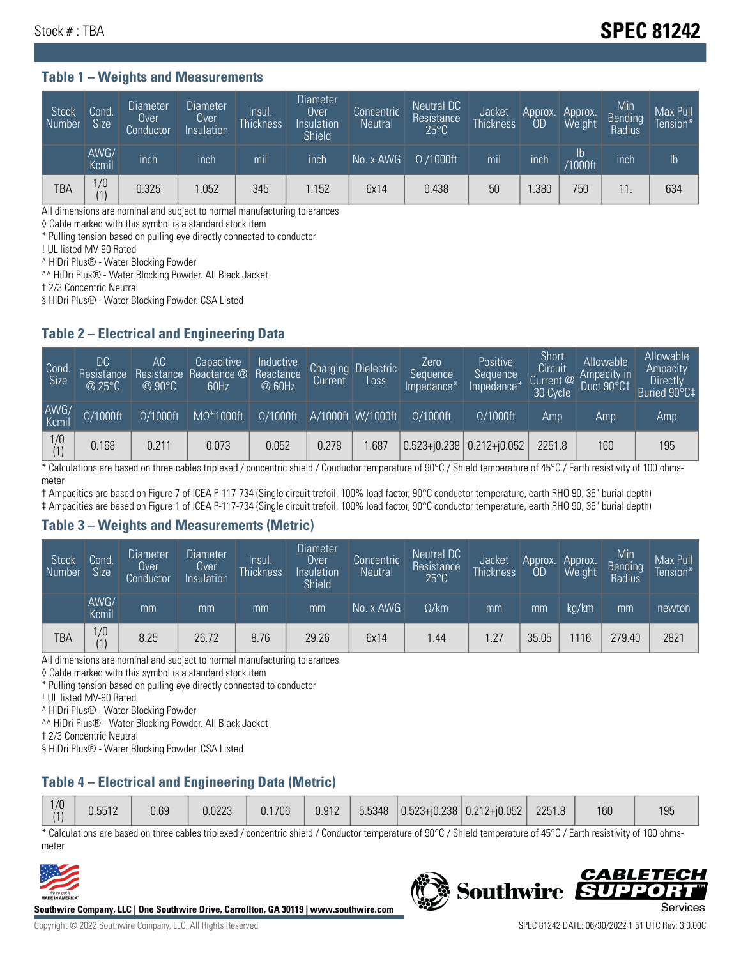# Stock # : TBA **SPEC 81242**

#### **Table 1 – Weights and Measurements**

| Stock<br>Number | Cond<br>Size <sup>'</sup> | <b>Diameter</b><br><b>Over</b><br>Conductor | <b>Diameter</b><br>Over<br>Insulation | Insul.<br><b>Thickness</b> | Diameter<br>Over<br>Insulation<br><b>Shield</b> | Concentric<br><b>Neutral</b> | Neutral DC<br>Resistance<br>$25^{\circ}$ C | Jacket<br><b>Thickness</b> | Approx.<br>OD | Approx.<br>Weight | Min<br><b>Bending</b><br>Radius | Max Pull<br>Tension* |
|-----------------|---------------------------|---------------------------------------------|---------------------------------------|----------------------------|-------------------------------------------------|------------------------------|--------------------------------------------|----------------------------|---------------|-------------------|---------------------------------|----------------------|
|                 | AWG/<br>Kcmil             | inch                                        | inch                                  | mil                        | inch                                            | No. x AWG                    | $\Omega$ /1000ft                           | mil                        | inch          | ID<br>/1000ft     | inch                            | I <sub>b</sub>       |
| TBA             | 1/0<br>(1)                | 0.325                                       | .052                                  | 345                        | .152                                            | 6x14                         | 0.438                                      | 50                         | .380          | 750               |                                 | 634                  |

All dimensions are nominal and subject to normal manufacturing tolerances

◊ Cable marked with this symbol is a standard stock item

\* Pulling tension based on pulling eye directly connected to conductor

! UL listed MV-90 Rated

^ HiDri Plus® - Water Blocking Powder

^^ HiDri Plus® - Water Blocking Powder. All Black Jacket

† 2/3 Concentric Neutral

§ HiDri Plus® - Water Blocking Powder. CSA Listed

### **Table 2 – Electrical and Engineering Data**

| Cond.<br>Size | 'DC.<br>Resistance<br>@25°C | АC<br>Resistance<br>$\varpi$ 90°C | Capacitive<br>Reactance @<br>60Hz | Inductive<br>Reactance<br>@ 60Hz | Charging<br>Current | Dielectric<br>Loss | Zero<br>Sequence<br>Impedance* | Positive<br>Sequence<br>Impedance <sup>®</sup> | Short<br>Circuit<br>Current <sup>@</sup><br>30 Cycle | Allowable<br>Ampacity in<br>Duct 90°C1 | Allowable<br>Ampacity<br>Directly<br>Buried 90°C‡ |
|---------------|-----------------------------|-----------------------------------|-----------------------------------|----------------------------------|---------------------|--------------------|--------------------------------|------------------------------------------------|------------------------------------------------------|----------------------------------------|---------------------------------------------------|
| AWG/<br>Kcmil | $\Omega/1000$ ft            | $\Omega/1000$ ft                  | $M\Omega^*1000$ ft                | $\Omega/1000$ ft                 |                     | A/1000ft W/1000ft  | $\Omega/1000$ ft               | $\Omega$ /1000ft                               | Amp                                                  | Amp                                    | Amp                                               |
| $\frac{1}{0}$ | 0.168                       | 0.211                             | 0.073                             | 0.052                            | 0.278               | .687               | $0.523 + 0.238$ 0.212+ $0.052$ |                                                | 2251.8                                               | 160                                    | 195                                               |

\* Calculations are based on three cables triplexed / concentric shield / Conductor temperature of 90°C / Shield temperature of 45°C / Earth resistivity of 100 ohmsmeter

† Ampacities are based on Figure 7 of ICEA P-117-734 (Single circuit trefoil, 100% load factor, 90°C conductor temperature, earth RHO 90, 36" burial depth)

‡ Ampacities are based on Figure 1 of ICEA P-117-734 (Single circuit trefoil, 100% load factor, 90°C conductor temperature, earth RHO 90, 36" burial depth)

#### **Table 3 – Weights and Measurements (Metric)**

| Stock<br>Number | Cond.<br>Size <sup>1</sup> | <b>Diameter</b><br><b>Over</b><br>Conductor | Diameter<br><b>Over</b><br>Insulation | Insul.<br><b>Thickness</b> | <b>Diameter</b><br>Over<br>Insulation<br><b>Shield</b> | Concentric<br>Neutral | Neutral DC<br>Resistance<br>$25^{\circ}$ C | Jacket<br><b>Thickness</b> | Approx.<br>OD | Approx.<br>Weight | Min<br>Bending | Max Pull<br>Tension* |
|-----------------|----------------------------|---------------------------------------------|---------------------------------------|----------------------------|--------------------------------------------------------|-----------------------|--------------------------------------------|----------------------------|---------------|-------------------|----------------|----------------------|
|                 | AWG/<br>Kcmil              | mm                                          | mm                                    | mm                         | mm                                                     | No. x AWG             | $\Omega$ /km                               | mm                         | mm            | ka/km             | mm             | newton               |
| <b>TBA</b>      | 1/0<br>(1)                 | 8.25                                        | 26.72                                 | 8.76                       | 29.26                                                  | 6x14                  | l.44                                       | .27                        | 35.05         | 116               | 279.40         | 2821                 |

All dimensions are nominal and subject to normal manufacturing tolerances

◊ Cable marked with this symbol is a standard stock item

\* Pulling tension based on pulling eye directly connected to conductor

! UL listed MV-90 Rated

^ HiDri Plus® - Water Blocking Powder

^^ HiDri Plus® - Water Blocking Powder. All Black Jacket

† 2/3 Concentric Neutral

§ HiDri Plus® - Water Blocking Powder. CSA Listed

## **Table 4 – Electrical and Engineering Data (Metric)**

| 1/0<br>(1) | 0.5512 | 0.69 | 0.0223 | 0.1706 | 0.912 | 5.5348 | $ 0.523 + i0.238 0.212 + i0.052 $ | 2251.8 | 160 | 195 |
|------------|--------|------|--------|--------|-------|--------|-----------------------------------|--------|-----|-----|
|            |        |      |        |        |       |        |                                   |        |     |     |

\* Calculations are based on three cables triplexed / concentric shield / Conductor temperature of 90°C / Shield temperature of 45°C / Earth resistivity of 100 ohmsmeter



**Southwire Company, LLC | One Southwire Drive, Carrollton, GA 30119 | www.southwire.com**